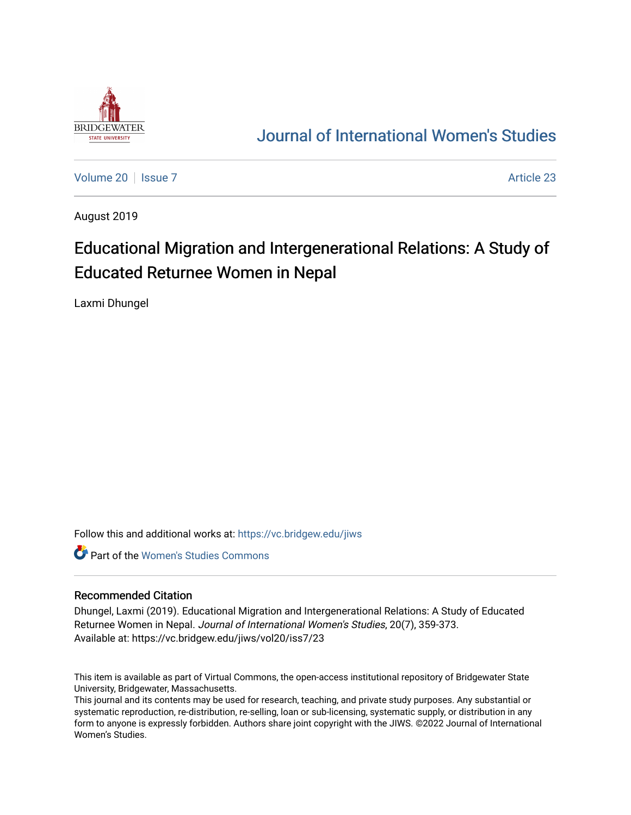

## [Journal of International Women's Studies](https://vc.bridgew.edu/jiws)

[Volume 20](https://vc.bridgew.edu/jiws/vol20) | [Issue 7](https://vc.bridgew.edu/jiws/vol20/iss7) Article 23

August 2019

# Educational Migration and Intergenerational Relations: A Study of Educated Returnee Women in Nepal

Laxmi Dhungel

Follow this and additional works at: [https://vc.bridgew.edu/jiws](https://vc.bridgew.edu/jiws?utm_source=vc.bridgew.edu%2Fjiws%2Fvol20%2Fiss7%2F23&utm_medium=PDF&utm_campaign=PDFCoverPages)

**C** Part of the Women's Studies Commons

#### Recommended Citation

Dhungel, Laxmi (2019). Educational Migration and Intergenerational Relations: A Study of Educated Returnee Women in Nepal. Journal of International Women's Studies, 20(7), 359-373. Available at: https://vc.bridgew.edu/jiws/vol20/iss7/23

This item is available as part of Virtual Commons, the open-access institutional repository of Bridgewater State University, Bridgewater, Massachusetts.

This journal and its contents may be used for research, teaching, and private study purposes. Any substantial or systematic reproduction, re-distribution, re-selling, loan or sub-licensing, systematic supply, or distribution in any form to anyone is expressly forbidden. Authors share joint copyright with the JIWS. ©2022 Journal of International Women's Studies.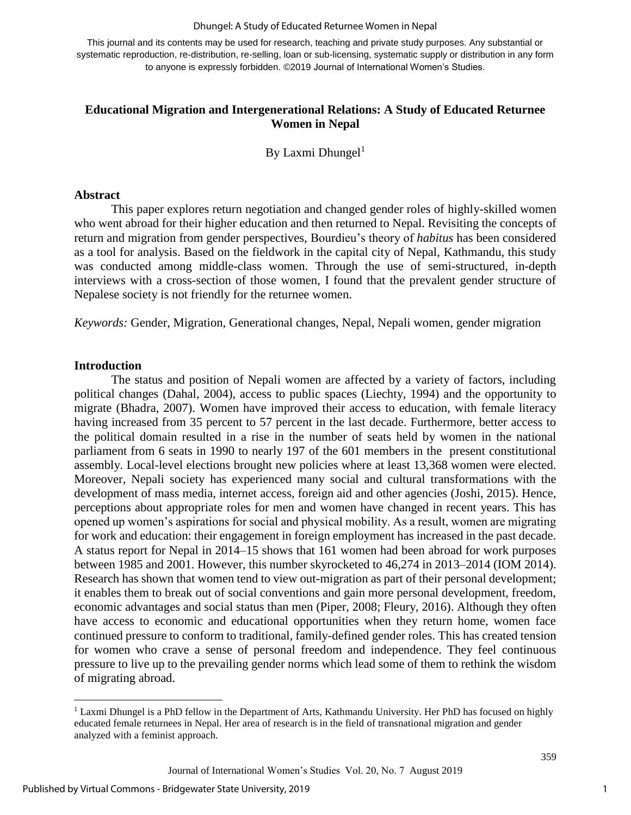#### Dhungel: A Study of Educated Returnee Women in Nepal

This journal and its contents may be used for research, teaching and private study purposes. Any substantial or systematic reproduction, re-distribution, re-selling, loan or sub-licensing, systematic supply or distribution in any form to anyone is expressly forbidden. ©2019 Journal of International Women's Studies.

## **Educational Migration and Intergenerational Relations: A Study of Educated Returnee Women in Nepal**

By Laxmi Dhungel<sup>1</sup>

#### **Abstract**

This paper explores return negotiation and changed gender roles of highly-skilled women who went abroad for their higher education and then returned to Nepal. Revisiting the concepts of return and migration from gender perspectives, Bourdieu's theory of *habitus* has been considered as a tool for analysis. Based on the fieldwork in the capital city of Nepal, Kathmandu, this study was conducted among middle-class women. Through the use of semi-structured, in-depth interviews with a cross-section of those women, I found that the prevalent gender structure of Nepalese society is not friendly for the returnee women.

*Keywords:* Gender, Migration, Generational changes, Nepal, Nepali women, gender migration

#### **Introduction**

 $\overline{\phantom{a}}$ 

The status and position of Nepali women are affected by a variety of factors, including political changes (Dahal, 2004), access to public spaces (Liechty, 1994) and the opportunity to migrate (Bhadra, 2007). Women have improved their access to education, with female literacy having increased from 35 percent to 57 percent in the last decade. Furthermore, better access to the political domain resulted in a rise in the number of seats held by women in the national parliament from 6 seats in 1990 to nearly 197 of the 601 members in the present constitutional assembly. Local-level elections brought new policies where at least 13,368 women were elected. Moreover, Nepali society has experienced many social and cultural transformations with the development of mass media, internet access, foreign aid and other agencies (Joshi, 2015). Hence, perceptions about appropriate roles for men and women have changed in recent years. This has opened up women's aspirations for social and physical mobility. As a result, women are migrating for work and education: their engagement in foreign employment has increased in the past decade. A status report for Nepal in 2014–15 shows that 161 women had been abroad for work purposes between 1985 and 2001. However, this number skyrocketed to 46,274 in 2013–2014 (IOM 2014). Research has shown that women tend to view out-migration as part of their personal development; it enables them to break out of social conventions and gain more personal development, freedom, economic advantages and social status than men (Piper, 2008; Fleury, 2016). Although they often have access to economic and educational opportunities when they return home, women face continued pressure to conform to traditional, family-defined gender roles. This has created tension for women who crave a sense of personal freedom and independence. They feel continuous pressure to live up to the prevailing gender norms which lead some of them to rethink the wisdom of migrating abroad.

<sup>1</sup> Laxmi Dhungel is a PhD fellow in the Department of Arts, Kathmandu University. Her PhD has focused on highly educated female returnees in Nepal. Her area of research is in the field of transnational migration and gender analyzed with a feminist approach.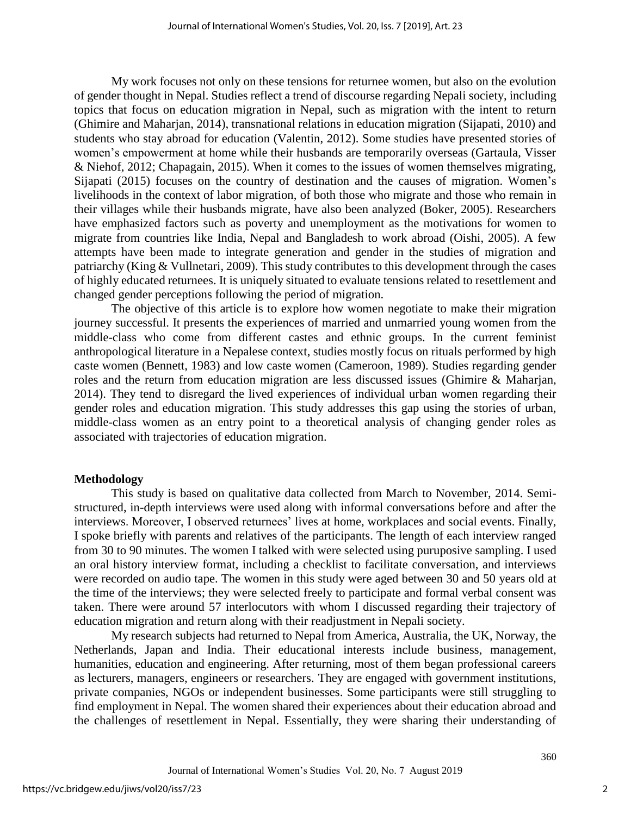My work focuses not only on these tensions for returnee women, but also on the evolution of gender thought in Nepal. Studies reflect a trend of discourse regarding Nepali society, including topics that focus on education migration in Nepal, such as migration with the intent to return (Ghimire and Maharjan, 2014), transnational relations in education migration (Sijapati, 2010) and students who stay abroad for education (Valentin, 2012). Some studies have presented stories of women's empowerment at home while their husbands are temporarily overseas (Gartaula, Visser & Niehof, 2012; Chapagain, 2015). When it comes to the issues of women themselves migrating, Sijapati (2015) focuses on the country of destination and the causes of migration. Women's livelihoods in the context of labor migration, of both those who migrate and those who remain in their villages while their husbands migrate, have also been analyzed (Boker, 2005). Researchers have emphasized factors such as poverty and unemployment as the motivations for women to migrate from countries like India, Nepal and Bangladesh to work abroad (Oishi, 2005). A few attempts have been made to integrate generation and gender in the studies of migration and patriarchy (King & Vullnetari, 2009). This study contributes to this development through the cases of highly educated returnees. It is uniquely situated to evaluate tensions related to resettlement and changed gender perceptions following the period of migration.

The objective of this article is to explore how women negotiate to make their migration journey successful. It presents the experiences of married and unmarried young women from the middle-class who come from different castes and ethnic groups. In the current feminist anthropological literature in a Nepalese context, studies mostly focus on rituals performed by high caste women (Bennett, 1983) and low caste women (Cameroon, 1989). Studies regarding gender roles and the return from education migration are less discussed issues (Ghimire & Maharjan, 2014). They tend to disregard the lived experiences of individual urban women regarding their gender roles and education migration. This study addresses this gap using the stories of urban, middle-class women as an entry point to a theoretical analysis of changing gender roles as associated with trajectories of education migration.

## **Methodology**

This study is based on qualitative data collected from March to November, 2014. Semistructured, in-depth interviews were used along with informal conversations before and after the interviews. Moreover, I observed returnees' lives at home, workplaces and social events. Finally, I spoke briefly with parents and relatives of the participants. The length of each interview ranged from 30 to 90 minutes. The women I talked with were selected using puruposive sampling. I used an oral history interview format, including a checklist to facilitate conversation, and interviews were recorded on audio tape. The women in this study were aged between 30 and 50 years old at the time of the interviews; they were selected freely to participate and formal verbal consent was taken. There were around 57 interlocutors with whom I discussed regarding their trajectory of education migration and return along with their readjustment in Nepali society.

My research subjects had returned to Nepal from America, Australia, the UK, Norway, the Netherlands, Japan and India. Their educational interests include business, management, humanities, education and engineering. After returning, most of them began professional careers as lecturers, managers, engineers or researchers. They are engaged with government institutions, private companies, NGOs or independent businesses. Some participants were still struggling to find employment in Nepal. The women shared their experiences about their education abroad and the challenges of resettlement in Nepal. Essentially, they were sharing their understanding of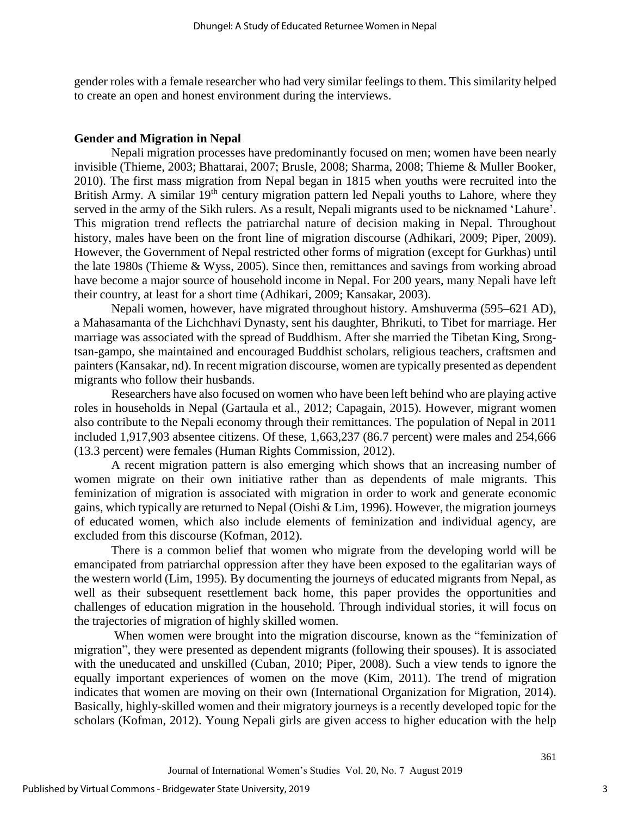gender roles with a female researcher who had very similar feelings to them. This similarity helped to create an open and honest environment during the interviews.

#### **Gender and Migration in Nepal**

Nepali migration processes have predominantly focused on men; women have been nearly invisible (Thieme, 2003; Bhattarai, 2007; Brusle, 2008; Sharma, 2008; Thieme & Muller Booker, 2010). The first mass migration from Nepal began in 1815 when youths were recruited into the British Army. A similar  $19<sup>th</sup>$  century migration pattern led Nepali youths to Lahore, where they served in the army of the Sikh rulers. As a result, Nepali migrants used to be nicknamed 'Lahure'. This migration trend reflects the patriarchal nature of decision making in Nepal. Throughout history, males have been on the front line of migration discourse (Adhikari, 2009; Piper, 2009). However, the Government of Nepal restricted other forms of migration (except for Gurkhas) until the late 1980s (Thieme & Wyss, 2005). Since then, remittances and savings from working abroad have become a major source of household income in Nepal. For 200 years, many Nepali have left their country, at least for a short time (Adhikari, 2009; Kansakar, 2003).

Nepali women, however, have migrated throughout history. Amshuverma (595–621 AD), a Mahasamanta of the Lichchhavi Dynasty, sent his daughter, Bhrikuti, to Tibet for marriage. Her marriage was associated with the spread of Buddhism. After she married the Tibetan King, Srongtsan-gampo, she maintained and encouraged Buddhist scholars, religious teachers, craftsmen and painters (Kansakar, nd). In recent migration discourse, women are typically presented as dependent migrants who follow their husbands.

Researchers have also focused on women who have been left behind who are playing active roles in households in Nepal (Gartaula et al., 2012; Capagain, 2015). However, migrant women also contribute to the Nepali economy through their remittances. The population of Nepal in 2011 included 1,917,903 absentee citizens. Of these, 1,663,237 (86.7 percent) were males and 254,666 (13.3 percent) were females (Human Rights Commission, 2012).

A recent migration pattern is also emerging which shows that an increasing number of women migrate on their own initiative rather than as dependents of male migrants. This feminization of migration is associated with migration in order to work and generate economic gains, which typically are returned to Nepal (Oishi & Lim, 1996). However, the migration journeys of educated women, which also include elements of feminization and individual agency, are excluded from this discourse (Kofman, 2012).

There is a common belief that women who migrate from the developing world will be emancipated from patriarchal oppression after they have been exposed to the egalitarian ways of the western world (Lim, 1995). By documenting the journeys of educated migrants from Nepal, as well as their subsequent resettlement back home, this paper provides the opportunities and challenges of education migration in the household. Through individual stories, it will focus on the trajectories of migration of highly skilled women.

When women were brought into the migration discourse, known as the "feminization of migration", they were presented as dependent migrants (following their spouses). It is associated with the uneducated and unskilled (Cuban, 2010; Piper, 2008). Such a view tends to ignore the equally important experiences of women on the move (Kim, 2011). The trend of migration indicates that women are moving on their own (International Organization for Migration, 2014). Basically, highly-skilled women and their migratory journeys is a recently developed topic for the scholars (Kofman, 2012). Young Nepali girls are given access to higher education with the help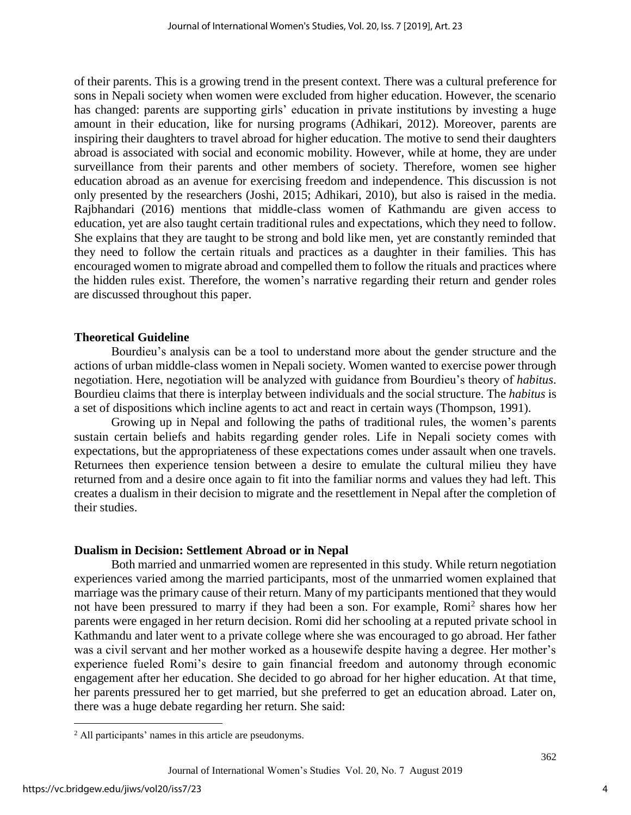of their parents. This is a growing trend in the present context. There was a cultural preference for sons in Nepali society when women were excluded from higher education. However, the scenario has changed: parents are supporting girls' education in private institutions by investing a huge amount in their education, like for nursing programs (Adhikari, 2012). Moreover, parents are inspiring their daughters to travel abroad for higher education. The motive to send their daughters abroad is associated with social and economic mobility. However, while at home, they are under surveillance from their parents and other members of society. Therefore, women see higher education abroad as an avenue for exercising freedom and independence. This discussion is not only presented by the researchers (Joshi, 2015; Adhikari, 2010), but also is raised in the media. Rajbhandari (2016) mentions that middle-class women of Kathmandu are given access to education, yet are also taught certain traditional rules and expectations, which they need to follow. She explains that they are taught to be strong and bold like men, yet are constantly reminded that they need to follow the certain rituals and practices as a daughter in their families. This has encouraged women to migrate abroad and compelled them to follow the rituals and practices where the hidden rules exist. Therefore, the women's narrative regarding their return and gender roles are discussed throughout this paper.

#### **Theoretical Guideline**

Bourdieu's analysis can be a tool to understand more about the gender structure and the actions of urban middle-class women in Nepali society. Women wanted to exercise power through negotiation. Here, negotiation will be analyzed with guidance from Bourdieu's theory of *habitus*. Bourdieu claims that there is interplay between individuals and the social structure. The *habitus* is a set of dispositions which incline agents to act and react in certain ways (Thompson, 1991).

Growing up in Nepal and following the paths of traditional rules, the women's parents sustain certain beliefs and habits regarding gender roles. Life in Nepali society comes with expectations, but the appropriateness of these expectations comes under assault when one travels. Returnees then experience tension between a desire to emulate the cultural milieu they have returned from and a desire once again to fit into the familiar norms and values they had left. This creates a dualism in their decision to migrate and the resettlement in Nepal after the completion of their studies.

#### **Dualism in Decision: Settlement Abroad or in Nepal**

Both married and unmarried women are represented in this study. While return negotiation experiences varied among the married participants, most of the unmarried women explained that marriage was the primary cause of their return. Many of my participants mentioned that they would not have been pressured to marry if they had been a son. For example, Romi<sup>2</sup> shares how her parents were engaged in her return decision. Romi did her schooling at a reputed private school in Kathmandu and later went to a private college where she was encouraged to go abroad. Her father was a civil servant and her mother worked as a housewife despite having a degree. Her mother's experience fueled Romi's desire to gain financial freedom and autonomy through economic engagement after her education. She decided to go abroad for her higher education. At that time, her parents pressured her to get married, but she preferred to get an education abroad. Later on, there was a huge debate regarding her return. She said:

 $\overline{\phantom{a}}$ 

<sup>2</sup> All participants' names in this article are pseudonyms.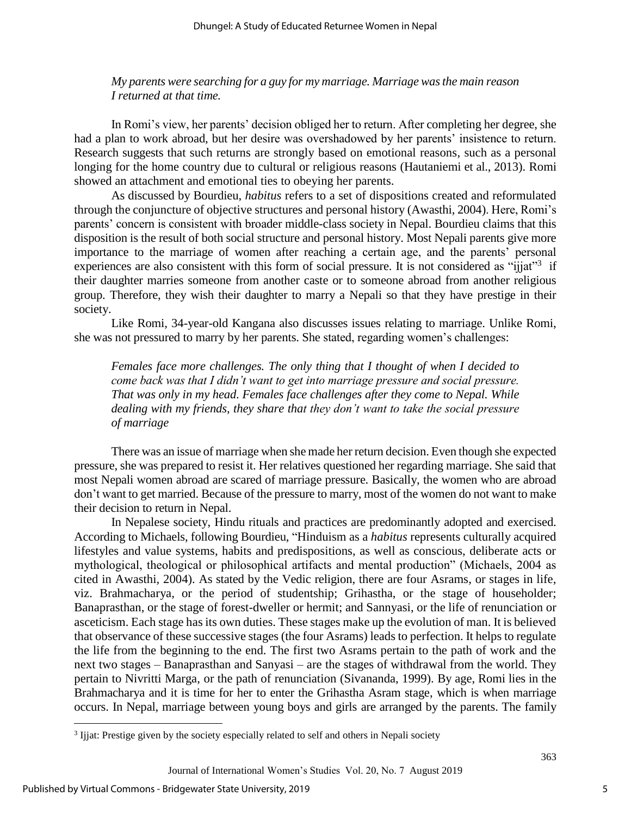*My parents were searching for a guy for my marriage. Marriage was the main reason I returned at that time.*

In Romi's view, her parents' decision obliged her to return. After completing her degree, she had a plan to work abroad, but her desire was overshadowed by her parents' insistence to return. Research suggests that such returns are strongly based on emotional reasons, such as a personal longing for the home country due to cultural or religious reasons (Hautaniemi et al., 2013). Romi showed an attachment and emotional ties to obeying her parents.

As discussed by Bourdieu, *habitus* refers to a set of dispositions created and reformulated through the conjuncture of objective structures and personal history (Awasthi, 2004). Here, Romi's parents' concern is consistent with broader middle-class society in Nepal. Bourdieu claims that this disposition is the result of both social structure and personal history. Most Nepali parents give more importance to the marriage of women after reaching a certain age, and the parents' personal experiences are also consistent with this form of social pressure. It is not considered as "ijjat"<sup>3</sup> if their daughter marries someone from another caste or to someone abroad from another religious group. Therefore, they wish their daughter to marry a Nepali so that they have prestige in their society.

Like Romi, 34-year-old Kangana also discusses issues relating to marriage. Unlike Romi, she was not pressured to marry by her parents. She stated, regarding women's challenges:

*Females face more challenges. The only thing that I thought of when I decided to come back was that I didn't want to get into marriage pressure and social pressure. That was only in my head. Females face challenges after they come to Nepal. While dealing with my friends, they share that they don't want to take the social pressure of marriage*

There was an issue of marriage when she made her return decision. Even though she expected pressure, she was prepared to resist it. Her relatives questioned her regarding marriage. She said that most Nepali women abroad are scared of marriage pressure. Basically, the women who are abroad don't want to get married. Because of the pressure to marry, most of the women do not want to make their decision to return in Nepal.

In Nepalese society, Hindu rituals and practices are predominantly adopted and exercised. According to Michaels, following Bourdieu, "Hinduism as a *habitus* represents culturally acquired lifestyles and value systems, habits and predispositions, as well as conscious, deliberate acts or mythological, theological or philosophical artifacts and mental production" (Michaels, 2004 as cited in Awasthi, 2004). As stated by the Vedic religion, there are four Asrams, or stages in life, viz. Brahmacharya, or the period of studentship; Grihastha, or the stage of householder; Banaprasthan, or the stage of forest-dweller or hermit; and Sannyasi, or the life of renunciation or asceticism. Each stage has its own duties. These stages make up the evolution of man. It is believed that observance of these successive stages (the four Asrams) leads to perfection. It helps to regulate the life from the beginning to the end. The first two Asrams pertain to the path of work and the next two stages – Banaprasthan and Sanyasi – are the stages of withdrawal from the world. They pertain to Nivritti Marga, or the path of renunciation (Sivananda, 1999). By age, Romi lies in the Brahmacharya and it is time for her to enter the Grihastha Asram stage, which is when marriage occurs. In Nepal, marriage between young boys and girls are arranged by the parents. The family

 $\overline{\phantom{a}}$ 

<sup>&</sup>lt;sup>3</sup> Ijjat: Prestige given by the society especially related to self and others in Nepali society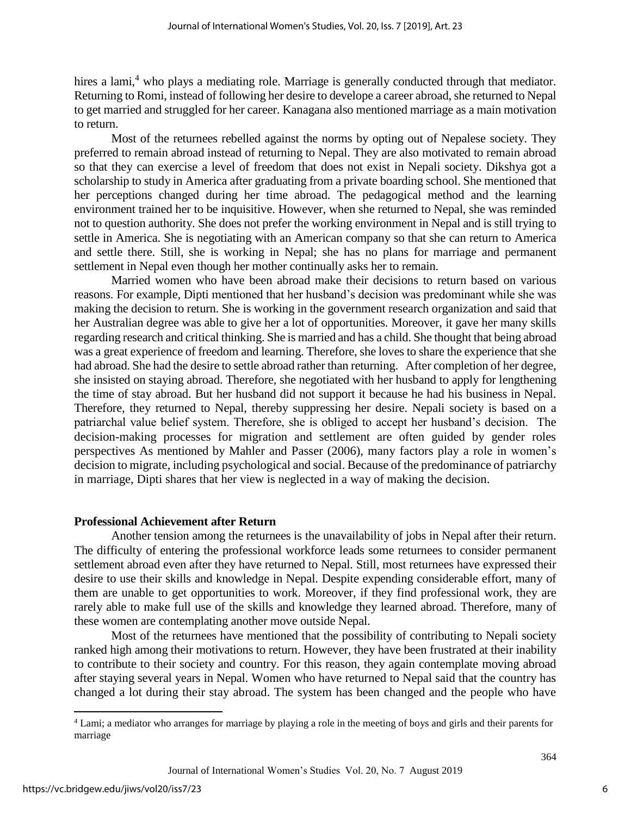hires a lami,<sup>4</sup> who plays a mediating role. Marriage is generally conducted through that mediator. Returning to Romi, instead of following her desire to develope a career abroad, she returned to Nepal to get married and struggled for her career. Kanagana also mentioned marriage as a main motivation to return.

Most of the returnees rebelled against the norms by opting out of Nepalese society. They preferred to remain abroad instead of returning to Nepal. They are also motivated to remain abroad so that they can exercise a level of freedom that does not exist in Nepali society. Dikshya got a scholarship to study in America after graduating from a private boarding school. She mentioned that her perceptions changed during her time abroad. The pedagogical method and the learning environment trained her to be inquisitive. However, when she returned to Nepal, she was reminded not to question authority. She does not prefer the working environment in Nepal and is still trying to settle in America. She is negotiating with an American company so that she can return to America and settle there. Still, she is working in Nepal; she has no plans for marriage and permanent settlement in Nepal even though her mother continually asks her to remain.

Married women who have been abroad make their decisions to return based on various reasons. For example, Dipti mentioned that her husband's decision was predominant while she was making the decision to return. She is working in the government research organization and said that her Australian degree was able to give her a lot of opportunities. Moreover, it gave her many skills regarding research and critical thinking. She is married and has a child. She thought that being abroad was a great experience of freedom and learning. Therefore, she loves to share the experience that she had abroad. She had the desire to settle abroad rather than returning. After completion of her degree, she insisted on staying abroad. Therefore, she negotiated with her husband to apply for lengthening the time of stay abroad. But her husband did not support it because he had his business in Nepal. Therefore, they returned to Nepal, thereby suppressing her desire. Nepali society is based on a patriarchal value belief system. Therefore, she is obliged to accept her husband's decision. The decision-making processes for migration and settlement are often guided by gender roles perspectives As mentioned by Mahler and Passer (2006), many factors play a role in women's decision to migrate, including psychological and social. Because of the predominance of patriarchy in marriage, Dipti shares that her view is neglected in a way of making the decision.

## **Professional Achievement after Return**

Another tension among the returnees is the unavailability of jobs in Nepal after their return. The difficulty of entering the professional workforce leads some returnees to consider permanent settlement abroad even after they have returned to Nepal. Still, most returnees have expressed their desire to use their skills and knowledge in Nepal. Despite expending considerable effort, many of them are unable to get opportunities to work. Moreover, if they find professional work, they are rarely able to make full use of the skills and knowledge they learned abroad. Therefore, many of these women are contemplating another move outside Nepal.

Most of the returnees have mentioned that the possibility of contributing to Nepali society ranked high among their motivations to return. However, they have been frustrated at their inability to contribute to their society and country. For this reason, they again contemplate moving abroad after staying several years in Nepal. Women who have returned to Nepal said that the country has changed a lot during their stay abroad. The system has been changed and the people who have

 $\overline{a}$ 

<sup>4</sup> Lami; a mediator who arranges for marriage by playing a role in the meeting of boys and girls and their parents for marriage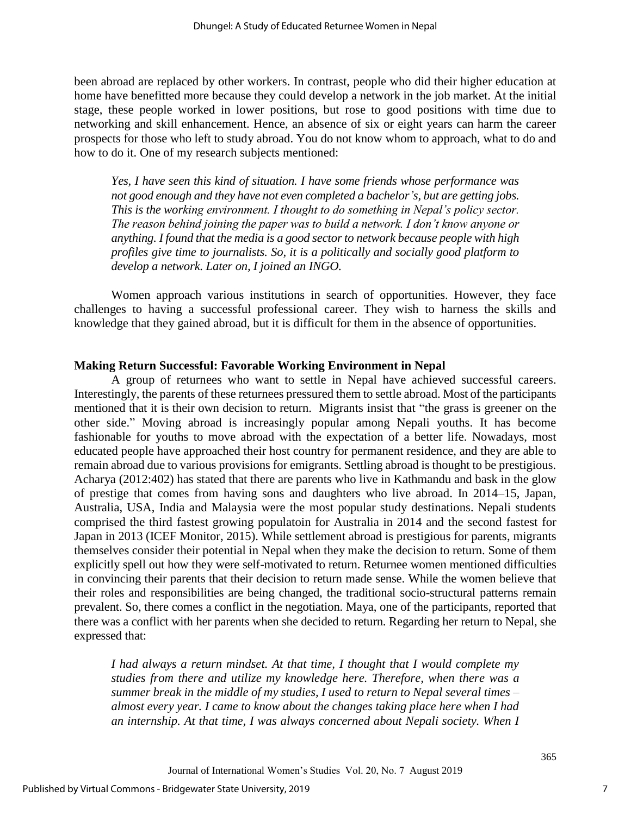been abroad are replaced by other workers. In contrast, people who did their higher education at home have benefitted more because they could develop a network in the job market. At the initial stage, these people worked in lower positions, but rose to good positions with time due to networking and skill enhancement. Hence, an absence of six or eight years can harm the career prospects for those who left to study abroad. You do not know whom to approach, what to do and how to do it. One of my research subjects mentioned:

*Yes, I have seen this kind of situation. I have some friends whose performance was not good enough and they have not even completed a bachelor's, but are getting jobs. This is the working environment. I thought to do something in Nepal's policy sector. The reason behind joining the paper was to build a network. I don't know anyone or anything. I found that the media is a good sector to network because people with high profiles give time to journalists. So, it is a politically and socially good platform to develop a network. Later on, I joined an INGO.*

Women approach various institutions in search of opportunities. However, they face challenges to having a successful professional career. They wish to harness the skills and knowledge that they gained abroad, but it is difficult for them in the absence of opportunities.

#### **Making Return Successful: Favorable Working Environment in Nepal**

A group of returnees who want to settle in Nepal have achieved successful careers. Interestingly, the parents of these returnees pressured them to settle abroad. Most of the participants mentioned that it is their own decision to return. Migrants insist that "the grass is greener on the other side." Moving abroad is increasingly popular among Nepali youths. It has become fashionable for youths to move abroad with the expectation of a better life. Nowadays, most educated people have approached their host country for permanent residence, and they are able to remain abroad due to various provisions for emigrants. Settling abroad is thought to be prestigious. Acharya (2012:402) has stated that there are parents who live in Kathmandu and bask in the glow of prestige that comes from having sons and daughters who live abroad. In 2014–15, Japan, Australia, USA, India and Malaysia were the most popular study destinations. Nepali students comprised the third fastest growing populatoin for Australia in 2014 and the second fastest for Japan in 2013 (ICEF Monitor, 2015). While settlement abroad is prestigious for parents, migrants themselves consider their potential in Nepal when they make the decision to return. Some of them explicitly spell out how they were self-motivated to return. Returnee women mentioned difficulties in convincing their parents that their decision to return made sense. While the women believe that their roles and responsibilities are being changed, the traditional socio-structural patterns remain prevalent. So, there comes a conflict in the negotiation. Maya, one of the participants, reported that there was a conflict with her parents when she decided to return. Regarding her return to Nepal, she expressed that:

*I had always a return mindset. At that time, I thought that I would complete my studies from there and utilize my knowledge here. Therefore, when there was a summer break in the middle of my studies, I used to return to Nepal several times – almost every year. I came to know about the changes taking place here when I had an internship. At that time, I was always concerned about Nepali society. When I*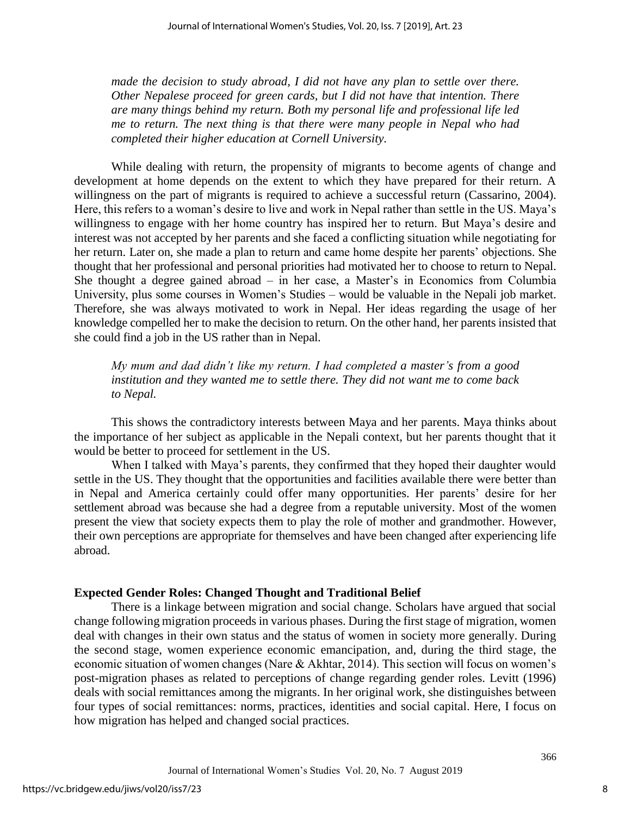*made the decision to study abroad, I did not have any plan to settle over there. Other Nepalese proceed for green cards, but I did not have that intention. There are many things behind my return. Both my personal life and professional life led me to return. The next thing is that there were many people in Nepal who had completed their higher education at Cornell University.*

While dealing with return, the propensity of migrants to become agents of change and development at home depends on the extent to which they have prepared for their return. A willingness on the part of migrants is required to achieve a successful return (Cassarino, 2004). Here, this refers to a woman's desire to live and work in Nepal rather than settle in the US. Maya's willingness to engage with her home country has inspired her to return. But Maya's desire and interest was not accepted by her parents and she faced a conflicting situation while negotiating for her return. Later on, she made a plan to return and came home despite her parents' objections. She thought that her professional and personal priorities had motivated her to choose to return to Nepal. She thought a degree gained abroad – in her case, a Master's in Economics from Columbia University, plus some courses in Women's Studies – would be valuable in the Nepali job market. Therefore, she was always motivated to work in Nepal. Her ideas regarding the usage of her knowledge compelled her to make the decision to return. On the other hand, her parents insisted that she could find a job in the US rather than in Nepal.

*My mum and dad didn't like my return. I had completed a master's from a good institution and they wanted me to settle there. They did not want me to come back to Nepal.*

This shows the contradictory interests between Maya and her parents. Maya thinks about the importance of her subject as applicable in the Nepali context, but her parents thought that it would be better to proceed for settlement in the US.

When I talked with Maya's parents, they confirmed that they hoped their daughter would settle in the US. They thought that the opportunities and facilities available there were better than in Nepal and America certainly could offer many opportunities. Her parents' desire for her settlement abroad was because she had a degree from a reputable university. Most of the women present the view that society expects them to play the role of mother and grandmother. However, their own perceptions are appropriate for themselves and have been changed after experiencing life abroad.

#### **Expected Gender Roles: Changed Thought and Traditional Belief**

There is a linkage between migration and social change. Scholars have argued that social change following migration proceeds in various phases. During the first stage of migration, women deal with changes in their own status and the status of women in society more generally. During the second stage, women experience economic emancipation, and, during the third stage, the economic situation of women changes (Nare & Akhtar, 2014). This section will focus on women's post-migration phases as related to perceptions of change regarding gender roles. Levitt (1996) deals with social remittances among the migrants. In her original work, she distinguishes between four types of social remittances: norms, practices, identities and social capital. Here, I focus on how migration has helped and changed social practices.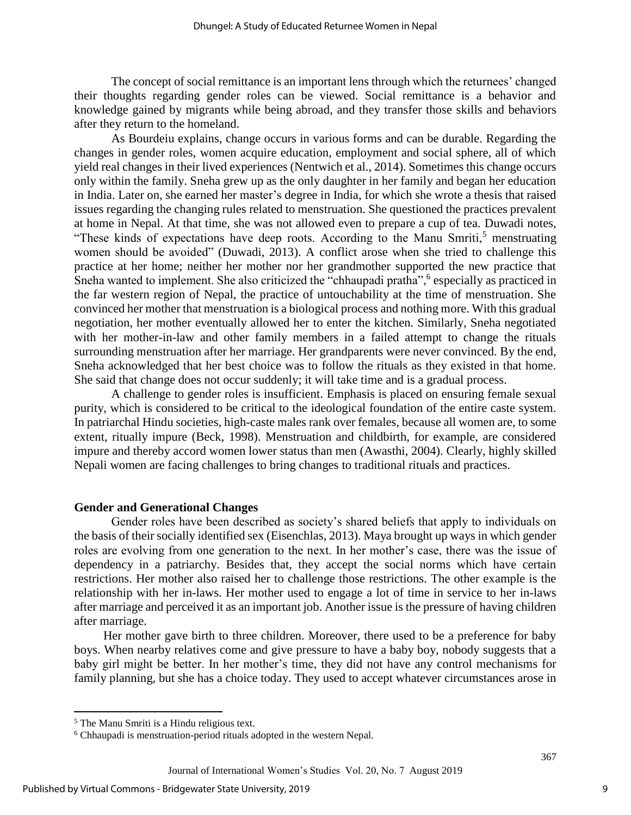The concept of social remittance is an important lens through which the returnees' changed their thoughts regarding gender roles can be viewed. Social remittance is a behavior and knowledge gained by migrants while being abroad, and they transfer those skills and behaviors after they return to the homeland.

As Bourdeiu explains, change occurs in various forms and can be durable. Regarding the changes in gender roles, women acquire education, employment and social sphere, all of which yield real changes in their lived experiences (Nentwich et al., 2014). Sometimes this change occurs only within the family. Sneha grew up as the only daughter in her family and began her education in India. Later on, she earned her master's degree in India, for which she wrote a thesis that raised issues regarding the changing rules related to menstruation. She questioned the practices prevalent at home in Nepal. At that time, she was not allowed even to prepare a cup of tea. Duwadi notes, "These kinds of expectations have deep roots. According to the Manu Smriti, $<sup>5</sup>$  menstruating</sup> women should be avoided" (Duwadi, 2013). A conflict arose when she tried to challenge this practice at her home; neither her mother nor her grandmother supported the new practice that Sneha wanted to implement. She also criticized the "chhaupadi pratha", <sup>6</sup> especially as practiced in the far western region of Nepal, the practice of untouchability at the time of menstruation. She convinced her mother that menstruation is a biological process and nothing more. With this gradual negotiation, her mother eventually allowed her to enter the kitchen. Similarly, Sneha negotiated with her mother-in-law and other family members in a failed attempt to change the rituals surrounding menstruation after her marriage. Her grandparents were never convinced. By the end, Sneha acknowledged that her best choice was to follow the rituals as they existed in that home. She said that change does not occur suddenly; it will take time and is a gradual process.

A challenge to gender roles is insufficient. Emphasis is placed on ensuring female sexual purity, which is considered to be critical to the ideological foundation of the entire caste system. In patriarchal Hindu societies, high-caste males rank over females, because all women are, to some extent, ritually impure (Beck, 1998). Menstruation and childbirth, for example, are considered impure and thereby accord women lower status than men (Awasthi, 2004). Clearly, highly skilled Nepali women are facing challenges to bring changes to traditional rituals and practices.

#### **Gender and Generational Changes**

Gender roles have been described as society's shared beliefs that apply to individuals on the basis of their socially identified sex (Eisenchlas, 2013). Maya brought up ways in which gender roles are evolving from one generation to the next. In her mother's case, there was the issue of dependency in a patriarchy. Besides that, they accept the social norms which have certain restrictions. Her mother also raised her to challenge those restrictions. The other example is the relationship with her in-laws. Her mother used to engage a lot of time in service to her in-laws after marriage and perceived it as an important job. Another issue is the pressure of having children after marriage.

Her mother gave birth to three children. Moreover, there used to be a preference for baby boys. When nearby relatives come and give pressure to have a baby boy, nobody suggests that a baby girl might be better. In her mother's time, they did not have any control mechanisms for family planning, but she has a choice today. They used to accept whatever circumstances arose in

 $\overline{a}$ 

<sup>5</sup> The Manu Smriti is a Hindu religious text.

<sup>6</sup> Chhaupadi is menstruation-period rituals adopted in the western Nepal.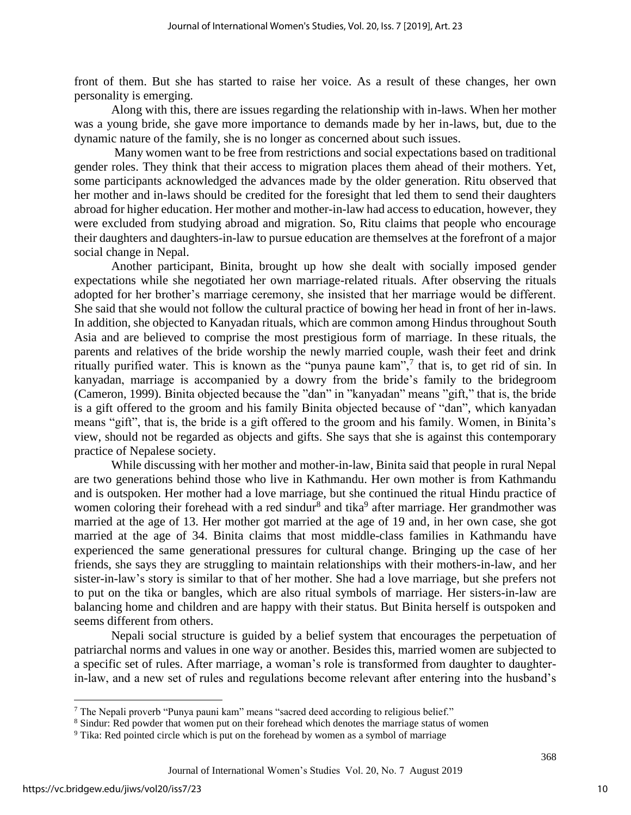front of them. But she has started to raise her voice. As a result of these changes, her own personality is emerging.

Along with this, there are issues regarding the relationship with in-laws. When her mother was a young bride, she gave more importance to demands made by her in-laws, but, due to the dynamic nature of the family, she is no longer as concerned about such issues.

Many women want to be free from restrictions and social expectations based on traditional gender roles. They think that their access to migration places them ahead of their mothers. Yet, some participants acknowledged the advances made by the older generation. Ritu observed that her mother and in-laws should be credited for the foresight that led them to send their daughters abroad for higher education. Her mother and mother-in-law had access to education, however, they were excluded from studying abroad and migration. So, Ritu claims that people who encourage their daughters and daughters-in-law to pursue education are themselves at the forefront of a major social change in Nepal.

Another participant, Binita, brought up how she dealt with socially imposed gender expectations while she negotiated her own marriage-related rituals. After observing the rituals adopted for her brother's marriage ceremony, she insisted that her marriage would be different. She said that she would not follow the cultural practice of bowing her head in front of her in-laws. In addition, she objected to Kanyadan rituals, which are common among Hindus throughout South Asia and are believed to comprise the most prestigious form of marriage. In these rituals, the parents and relatives of the bride worship the newly married couple, wash their feet and drink ritually purified water. This is known as the "punya paune kam", $7$  that is, to get rid of sin. In kanyadan, marriage is accompanied by a dowry from the bride's family to the bridegroom (Cameron, 1999). Binita objected because the "dan" in "kanyadan" means "gift," that is, the bride is a gift offered to the groom and his family Binita objected because of "dan", which kanyadan means "gift", that is, the bride is a gift offered to the groom and his family. Women, in Binita's view, should not be regarded as objects and gifts. She says that she is against this contemporary practice of Nepalese society.

While discussing with her mother and mother-in-law, Binita said that people in rural Nepal are two generations behind those who live in Kathmandu. Her own mother is from Kathmandu and is outspoken. Her mother had a love marriage, but she continued the ritual Hindu practice of women coloring their forehead with a red sindur<sup>8</sup> and tika<sup>9</sup> after marriage. Her grandmother was married at the age of 13. Her mother got married at the age of 19 and, in her own case, she got married at the age of 34. Binita claims that most middle-class families in Kathmandu have experienced the same generational pressures for cultural change. Bringing up the case of her friends, she says they are struggling to maintain relationships with their mothers-in-law, and her sister-in-law's story is similar to that of her mother. She had a love marriage, but she prefers not to put on the tika or bangles, which are also ritual symbols of marriage. Her sisters-in-law are balancing home and children and are happy with their status. But Binita herself is outspoken and seems different from others.

Nepali social structure is guided by a belief system that encourages the perpetuation of patriarchal norms and values in one way or another. Besides this, married women are subjected to a specific set of rules. After marriage, a woman's role is transformed from daughter to daughterin-law, and a new set of rules and regulations become relevant after entering into the husband's

 $\overline{\phantom{a}}$ 

<sup>7</sup> The Nepali proverb "Punya pauni kam" means "sacred deed according to religious belief."

<sup>8</sup> Sindur: Red powder that women put on their forehead which denotes the marriage status of women

<sup>&</sup>lt;sup>9</sup> Tika: Red pointed circle which is put on the forehead by women as a symbol of marriage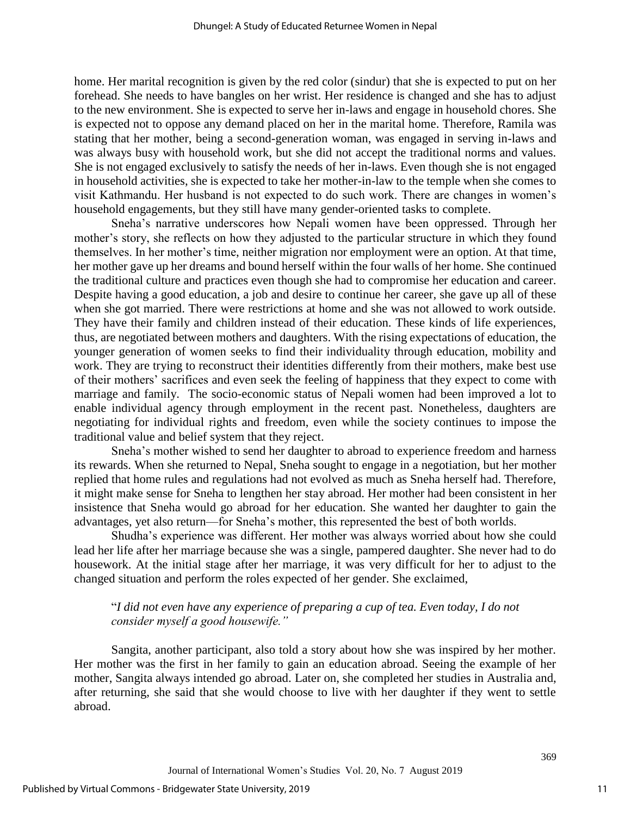home. Her marital recognition is given by the red color (sindur) that she is expected to put on her forehead. She needs to have bangles on her wrist. Her residence is changed and she has to adjust to the new environment. She is expected to serve her in-laws and engage in household chores. She is expected not to oppose any demand placed on her in the marital home. Therefore, Ramila was stating that her mother, being a second-generation woman, was engaged in serving in-laws and was always busy with household work, but she did not accept the traditional norms and values. She is not engaged exclusively to satisfy the needs of her in-laws. Even though she is not engaged in household activities, she is expected to take her mother-in-law to the temple when she comes to visit Kathmandu. Her husband is not expected to do such work. There are changes in women's household engagements, but they still have many gender-oriented tasks to complete.

Sneha's narrative underscores how Nepali women have been oppressed. Through her mother's story, she reflects on how they adjusted to the particular structure in which they found themselves. In her mother's time, neither migration nor employment were an option. At that time, her mother gave up her dreams and bound herself within the four walls of her home. She continued the traditional culture and practices even though she had to compromise her education and career. Despite having a good education, a job and desire to continue her career, she gave up all of these when she got married. There were restrictions at home and she was not allowed to work outside. They have their family and children instead of their education. These kinds of life experiences, thus, are negotiated between mothers and daughters. With the rising expectations of education, the younger generation of women seeks to find their individuality through education, mobility and work. They are trying to reconstruct their identities differently from their mothers, make best use of their mothers' sacrifices and even seek the feeling of happiness that they expect to come with marriage and family. The socio-economic status of Nepali women had been improved a lot to enable individual agency through employment in the recent past. Nonetheless, daughters are negotiating for individual rights and freedom, even while the society continues to impose the traditional value and belief system that they reject.

Sneha's mother wished to send her daughter to abroad to experience freedom and harness its rewards. When she returned to Nepal, Sneha sought to engage in a negotiation, but her mother replied that home rules and regulations had not evolved as much as Sneha herself had. Therefore, it might make sense for Sneha to lengthen her stay abroad. Her mother had been consistent in her insistence that Sneha would go abroad for her education. She wanted her daughter to gain the advantages, yet also return—for Sneha's mother, this represented the best of both worlds.

Shudha's experience was different. Her mother was always worried about how she could lead her life after her marriage because she was a single, pampered daughter. She never had to do housework. At the initial stage after her marriage, it was very difficult for her to adjust to the changed situation and perform the roles expected of her gender. She exclaimed,

## "*I did not even have any experience of preparing a cup of tea. Even today, I do not consider myself a good housewife."*

Sangita, another participant, also told a story about how she was inspired by her mother. Her mother was the first in her family to gain an education abroad. Seeing the example of her mother, Sangita always intended go abroad. Later on, she completed her studies in Australia and, after returning, she said that she would choose to live with her daughter if they went to settle abroad.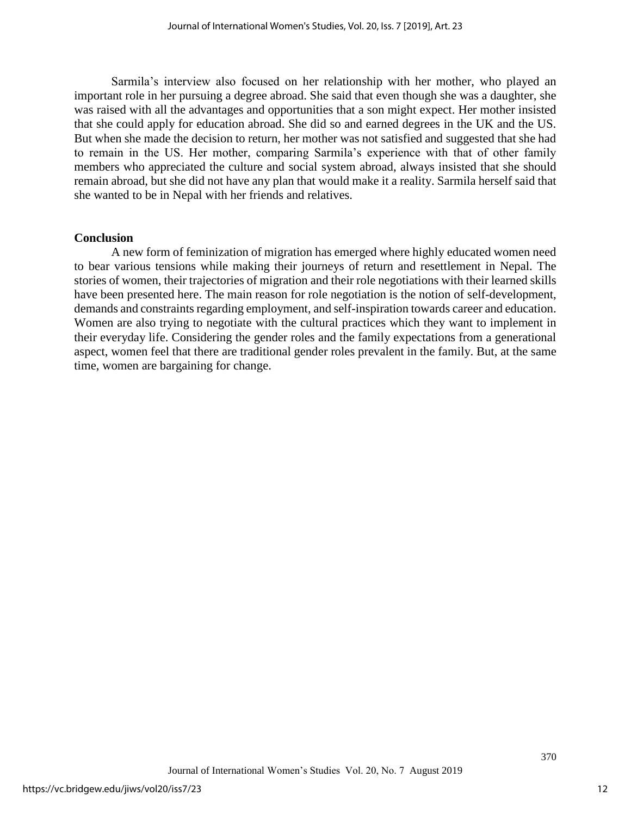Sarmila's interview also focused on her relationship with her mother, who played an important role in her pursuing a degree abroad. She said that even though she was a daughter, she was raised with all the advantages and opportunities that a son might expect. Her mother insisted that she could apply for education abroad. She did so and earned degrees in the UK and the US. But when she made the decision to return, her mother was not satisfied and suggested that she had to remain in the US. Her mother, comparing Sarmila's experience with that of other family members who appreciated the culture and social system abroad, always insisted that she should remain abroad, but she did not have any plan that would make it a reality. Sarmila herself said that she wanted to be in Nepal with her friends and relatives.

#### **Conclusion**

A new form of feminization of migration has emerged where highly educated women need to bear various tensions while making their journeys of return and resettlement in Nepal. The stories of women, their trajectories of migration and their role negotiations with their learned skills have been presented here. The main reason for role negotiation is the notion of self-development, demands and constraints regarding employment, and self-inspiration towards career and education. Women are also trying to negotiate with the cultural practices which they want to implement in their everyday life. Considering the gender roles and the family expectations from a generational aspect, women feel that there are traditional gender roles prevalent in the family. But, at the same time, women are bargaining for change.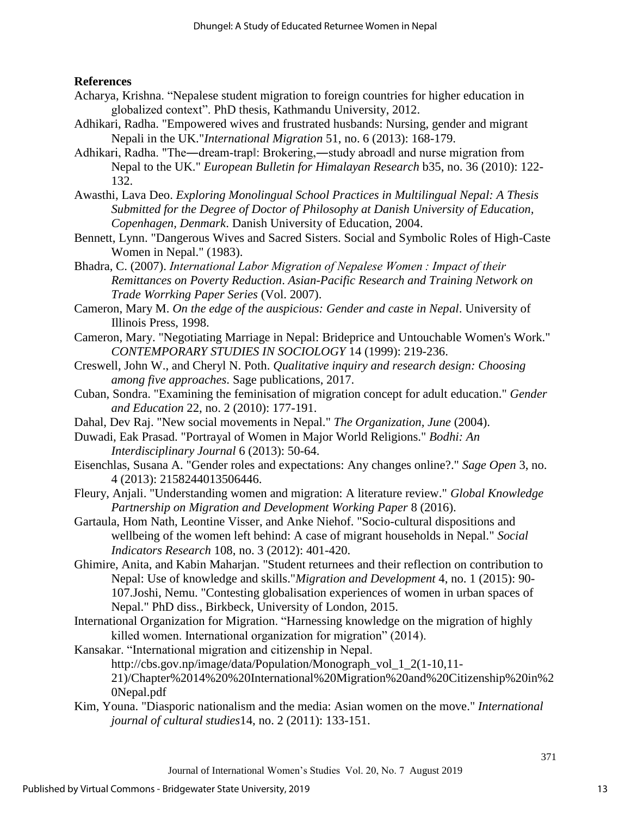## **References**

- Acharya, Krishna. "Nepalese student migration to foreign countries for higher education in globalized context". PhD thesis, Kathmandu University, 2012.
- Adhikari, Radha. "Empowered wives and frustrated husbands: Nursing, gender and migrant Nepali in the UK."*International Migration* 51, no. 6 (2013): 168-179.
- Adhikari, Radha. "The—dream-trapl: Brokering,—study abroadl and nurse migration from Nepal to the UK." *European Bulletin for Himalayan Research* b35, no. 36 (2010): 122- 132.
- Awasthi, Lava Deo. *Exploring Monolingual School Practices in Multilingual Nepal: A Thesis Submitted for the Degree of Doctor of Philosophy at Danish University of Education, Copenhagen, Denmark*. Danish University of Education, 2004.
- Bennett, Lynn. "Dangerous Wives and Sacred Sisters. Social and Symbolic Roles of High-Caste Women in Nepal." (1983).
- Bhadra, C. (2007). *International Labor Migration of Nepalese Women : Impact of their Remittances on Poverty Reduction*. *Asian-Pacific Research and Training Network on Trade Worrking Paper Series* (Vol. 2007).
- Cameron, Mary M. *On the edge of the auspicious: Gender and caste in Nepal*. University of Illinois Press, 1998.
- Cameron, Mary. "Negotiating Marriage in Nepal: Brideprice and Untouchable Women's Work." *CONTEMPORARY STUDIES IN SOCIOLOGY* 14 (1999): 219-236.
- Creswell, John W., and Cheryl N. Poth. *Qualitative inquiry and research design: Choosing among five approaches*. Sage publications, 2017.
- Cuban, Sondra. "Examining the feminisation of migration concept for adult education." *Gender and Education* 22, no. 2 (2010): 177-191.
- Dahal, Dev Raj. "New social movements in Nepal." *The Organization, June* (2004).
- Duwadi, Eak Prasad. "Portrayal of Women in Major World Religions." *Bodhi: An Interdisciplinary Journal* 6 (2013): 50-64.
- Eisenchlas, Susana A. "Gender roles and expectations: Any changes online?." *Sage Open* 3, no. 4 (2013): 2158244013506446.
- Fleury, Anjali. "Understanding women and migration: A literature review." *Global Knowledge Partnership on Migration and Development Working Paper* 8 (2016).
- Gartaula, Hom Nath, Leontine Visser, and Anke Niehof. "Socio-cultural dispositions and wellbeing of the women left behind: A case of migrant households in Nepal." *Social Indicators Research* 108, no. 3 (2012): 401-420.
- Ghimire, Anita, and Kabin Maharjan. "Student returnees and their reflection on contribution to Nepal: Use of knowledge and skills."*Migration and Development* 4, no. 1 (2015): 90- 107.Joshi, Nemu. "Contesting globalisation experiences of women in urban spaces of Nepal." PhD diss., Birkbeck, University of London, 2015.
- International Organization for Migration. "Harnessing knowledge on the migration of highly killed women. International organization for migration" (2014).
- Kansakar. "International migration and citizenship in Nepal. http://cbs.gov.np/image/data/Population/Monograph\_vol\_1\_2(1-10,11- 21)/Chapter%2014%20%20International%20Migration%20and%20Citizenship%20in%2 0Nepal.pdf
- Kim, Youna. "Diasporic nationalism and the media: Asian women on the move." *International journal of cultural studies*14, no. 2 (2011): 133-151.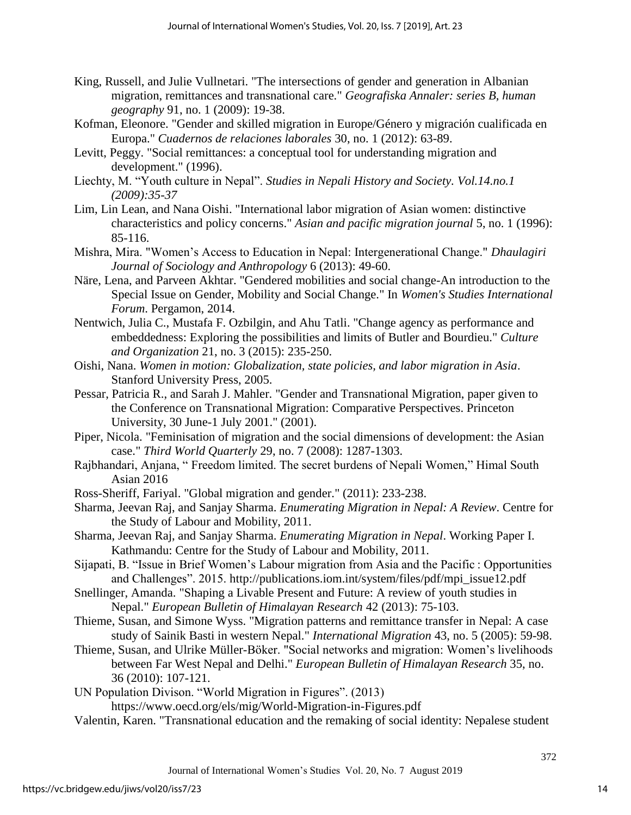- King, Russell, and Julie Vullnetari. "The intersections of gender and generation in Albanian migration, remittances and transnational care." *Geografiska Annaler: series B, human geography* 91, no. 1 (2009): 19-38.
- Kofman, Eleonore. "Gender and skilled migration in Europe/Género y migración cualificada en Europa." *Cuadernos de relaciones laborales* 30, no. 1 (2012): 63-89.
- Levitt, Peggy. "Social remittances: a conceptual tool for understanding migration and development." (1996).
- Liechty, M. "Youth culture in Nepal". *Studies in Nepali History and Society. Vol.14.no.1 (2009):35-37*
- Lim, Lin Lean, and Nana Oishi. "International labor migration of Asian women: distinctive characteristics and policy concerns." *Asian and pacific migration journal* 5, no. 1 (1996): 85-116.
- Mishra, Mira. "Women's Access to Education in Nepal: Intergenerational Change." *Dhaulagiri Journal of Sociology and Anthropology* 6 (2013): 49-60.
- Näre, Lena, and Parveen Akhtar. "Gendered mobilities and social change-An introduction to the Special Issue on Gender, Mobility and Social Change." In *Women's Studies International Forum*. Pergamon, 2014.
- Nentwich, Julia C., Mustafa F. Ozbilgin, and Ahu Tatli. "Change agency as performance and embeddedness: Exploring the possibilities and limits of Butler and Bourdieu." *Culture and Organization* 21, no. 3 (2015): 235-250.
- Oishi, Nana. *Women in motion: Globalization, state policies, and labor migration in Asia*. Stanford University Press, 2005.
- Pessar, Patricia R., and Sarah J. Mahler. "Gender and Transnational Migration, paper given to the Conference on Transnational Migration: Comparative Perspectives. Princeton University, 30 June-1 July 2001." (2001).
- Piper, Nicola. "Feminisation of migration and the social dimensions of development: the Asian case." *Third World Quarterly* 29, no. 7 (2008): 1287-1303.
- Rajbhandari, Anjana, " Freedom limited. The secret burdens of Nepali Women," Himal South Asian 2016
- Ross-Sheriff, Fariyal. "Global migration and gender." (2011): 233-238.
- Sharma, Jeevan Raj, and Sanjay Sharma. *Enumerating Migration in Nepal: A Review*. Centre for the Study of Labour and Mobility, 2011.
- Sharma, Jeevan Raj, and Sanjay Sharma. *Enumerating Migration in Nepal*. Working Paper I. Kathmandu: Centre for the Study of Labour and Mobility, 2011.

Sijapati, B. "Issue in Brief Women's Labour migration from Asia and the Pacific : Opportunities and Challenges". 2015. http://publications.iom.int/system/files/pdf/mpi\_issue12.pdf

- Snellinger, Amanda. "Shaping a Livable Present and Future: A review of youth studies in Nepal." *European Bulletin of Himalayan Research* 42 (2013): 75-103.
- Thieme, Susan, and Simone Wyss. "Migration patterns and remittance transfer in Nepal: A case study of Sainik Basti in western Nepal." *International Migration* 43, no. 5 (2005): 59-98.
- Thieme, Susan, and Ulrike Müller-Böker. "Social networks and migration: Women's livelihoods between Far West Nepal and Delhi." *European Bulletin of Himalayan Research* 35, no. 36 (2010): 107-121.

UN Population Divison. "World Migration in Figures". (2013)

https://www.oecd.org/els/mig/World-Migration-in-Figures.pdf

Valentin, Karen. "Transnational education and the remaking of social identity: Nepalese student